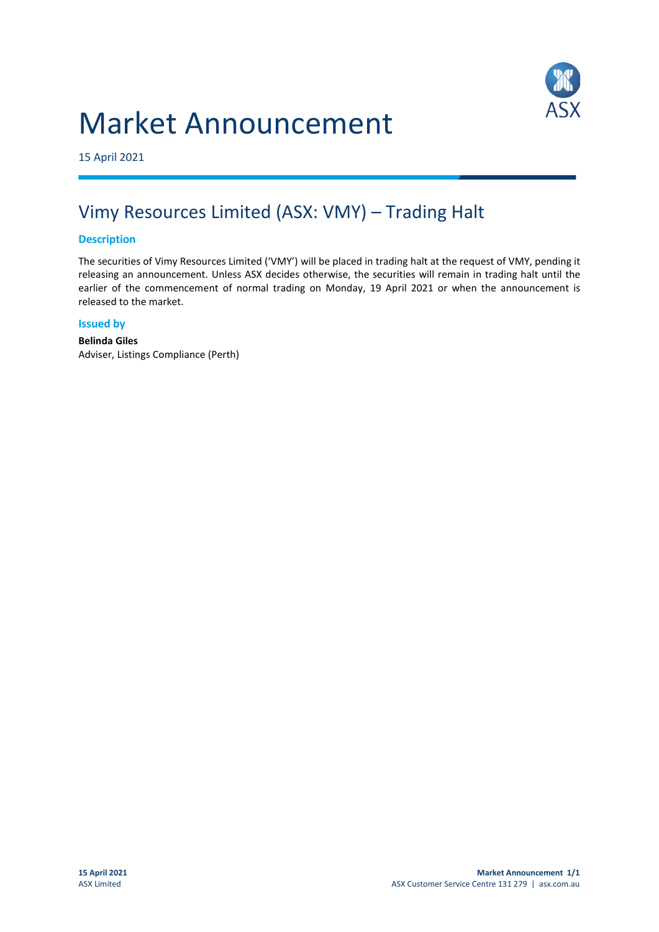# Market Announcement



15 April 2021

# Vimy Resources Limited (ASX: VMY) – Trading Halt

## **Description**

The securities of Vimy Resources Limited ('VMY') will be placed in trading halt at the request of VMY, pending it releasing an announcement. Unless ASX decides otherwise, the securities will remain in trading halt until the earlier of the commencement of normal trading on Monday, 19 April 2021 or when the announcement is released to the market.

#### **Issued by**

**Belinda Giles** Adviser, Listings Compliance (Perth)